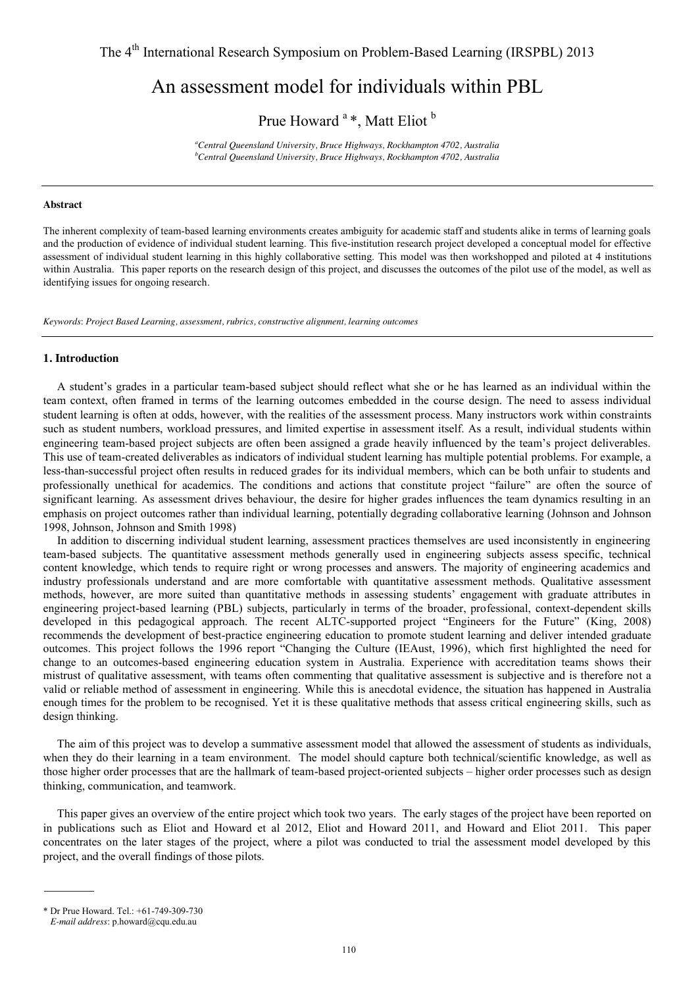# An assessment model for individuals within PBL

Prue Howard<sup>a</sup> \*, Matt Eliot<sup>b</sup>

*a Central Queensland University, Bruce Highways, Rockhampton 4702, Australia b Central Queensland University, Bruce Highways, Rockhampton 4702, Australia* 

#### **Abstract**

The inherent complexity of team-based learning environments creates ambiguity for academic staff and students alike in terms of learning goals and the production of evidence of individual student learning. This five-institution research project developed a conceptual model for effective assessment of individual student learning in this highly collaborative setting. This model was then workshopped and piloted at 4 institutions within Australia. This paper reports on the research design of this project, and discusses the outcomes of the pilot use of the model, as well as identifying issues for ongoing research.

*Keywords*: *Project Based Learning, assessment, rubrics, constructive alignment, learning outcomes*

## **1. Introduction**

A student's grades in a particular team-based subject should reflect what she or he has learned as an individual within the team context, often framed in terms of the learning outcomes embedded in the course design. The need to assess individual student learning is often at odds, however, with the realities of the assessment process. Many instructors work within constraints such as student numbers, workload pressures, and limited expertise in assessment itself. As a result, individual students within engineering team-based project subjects are often been assigned a grade heavily influenced by the team's project deliverables. This use of team-created deliverables as indicators of individual student learning has multiple potential problems. For example, a less-than-successful project often results in reduced grades for its individual members, which can be both unfair to students and professionally unethical for academics. The conditions and actions that constitute project "failure" are often the source of significant learning. As assessment drives behaviour, the desire for higher grades influences the team dynamics resulting in an emphasis on project outcomes rather than individual learning, potentially degrading collaborative learning (Johnson and Johnson 1998, Johnson, Johnson and Smith 1998)

In addition to discerning individual student learning, assessment practices themselves are used inconsistently in engineering team-based subjects. The quantitative assessment methods generally used in engineering subjects assess specific, technical content knowledge, which tends to require right or wrong processes and answers. The majority of engineering academics and industry professionals understand and are more comfortable with quantitative assessment methods. Qualitative assessment methods, however, are more suited than quantitative methods in assessing students' engagement with graduate attributes in engineering project-based learning (PBL) subjects, particularly in terms of the broader, professional, context-dependent skills developed in this pedagogical approach. The recent ALTC-supported project "Engineers for the Future" (King, 2008) recommends the development of best-practice engineering education to promote student learning and deliver intended graduate outcomes. This project follows the 1996 report "Changing the Culture (IEAust, 1996), which first highlighted the need for change to an outcomes-based engineering education system in Australia. Experience with accreditation teams shows their mistrust of qualitative assessment, with teams often commenting that qualitative assessment is subjective and is therefore not a valid or reliable method of assessment in engineering. While this is anecdotal evidence, the situation has happened in Australia enough times for the problem to be recognised. Yet it is these qualitative methods that assess critical engineering skills, such as design thinking.

The aim of this project was to develop a summative assessment model that allowed the assessment of students as individuals, when they do their learning in a team environment. The model should capture both technical/scientific knowledge, as well as those higher order processes that are the hallmark of team-based project-oriented subjects – higher order processes such as design thinking, communication, and teamwork.

This paper gives an overview of the entire project which took two years. The early stages of the project have been reported on in publications such as Eliot and Howard et al 2012, Eliot and Howard 2011, and Howard and Eliot 2011. This paper concentrates on the later stages of the project, where a pilot was conducted to trial the assessment model developed by this project, and the overall findings of those pilots.

<sup>\*</sup> Dr Prue Howard. Tel.: +61-749-309-730

*E-mail address*: p.howard@cqu.edu.au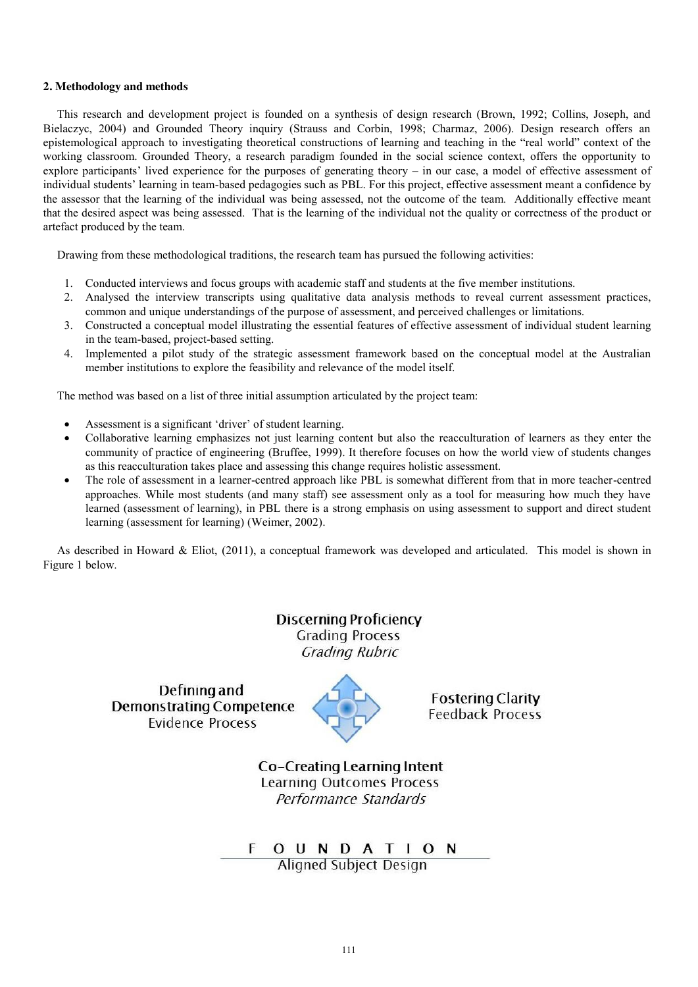# **2. Methodology and methods**

This research and development project is founded on a synthesis of design research (Brown, 1992; Collins, Joseph, and Bielaczyc, 2004) and Grounded Theory inquiry (Strauss and Corbin, 1998; Charmaz, 2006). Design research offers an epistemological approach to investigating theoretical constructions of learning and teaching in the "real world" context of the working classroom. Grounded Theory, a research paradigm founded in the social science context, offers the opportunity to explore participants' lived experience for the purposes of generating theory – in our case, a model of effective assessment of individual students' learning in team-based pedagogies such as PBL. For this project, effective assessment meant a confidence by the assessor that the learning of the individual was being assessed, not the outcome of the team. Additionally effective meant that the desired aspect was being assessed. That is the learning of the individual not the quality or correctness of the product or artefact produced by the team.

Drawing from these methodological traditions, the research team has pursued the following activities:

- 1. Conducted interviews and focus groups with academic staff and students at the five member institutions.
- 2. Analysed the interview transcripts using qualitative data analysis methods to reveal current assessment practices, common and unique understandings of the purpose of assessment, and perceived challenges or limitations.
- 3. Constructed a conceptual model illustrating the essential features of effective assessment of individual student learning in the team-based, project-based setting.
- 4. Implemented a pilot study of the strategic assessment framework based on the conceptual model at the Australian member institutions to explore the feasibility and relevance of the model itself.

The method was based on a list of three initial assumption articulated by the project team:

- Assessment is a significant 'driver' of student learning.
- Collaborative learning emphasizes not just learning content but also the reacculturation of learners as they enter the community of practice of engineering (Bruffee, 1999). It therefore focuses on how the world view of students changes as this reacculturation takes place and assessing this change requires holistic assessment.
- The role of assessment in a learner-centred approach like PBL is somewhat different from that in more teacher-centred approaches. While most students (and many staff) see assessment only as a tool for measuring how much they have learned (assessment of learning), in PBL there is a strong emphasis on using assessment to support and direct student learning (assessment for learning) (Weimer, 2002).

As described in Howard & Eliot, (2011), a conceptual framework was developed and articulated. This model is shown in Figure 1 below.

> **Discerning Proficiency Grading Process Grading Rubric**

Defining and **Demonstrating Competence Evidence Process** 



**Fostering Clarity** Feedback Process

Co-Creating Learning Intent **Learning Outcomes Process** Performance Standards

F O U N D A T I O N **Aligned Subject Design**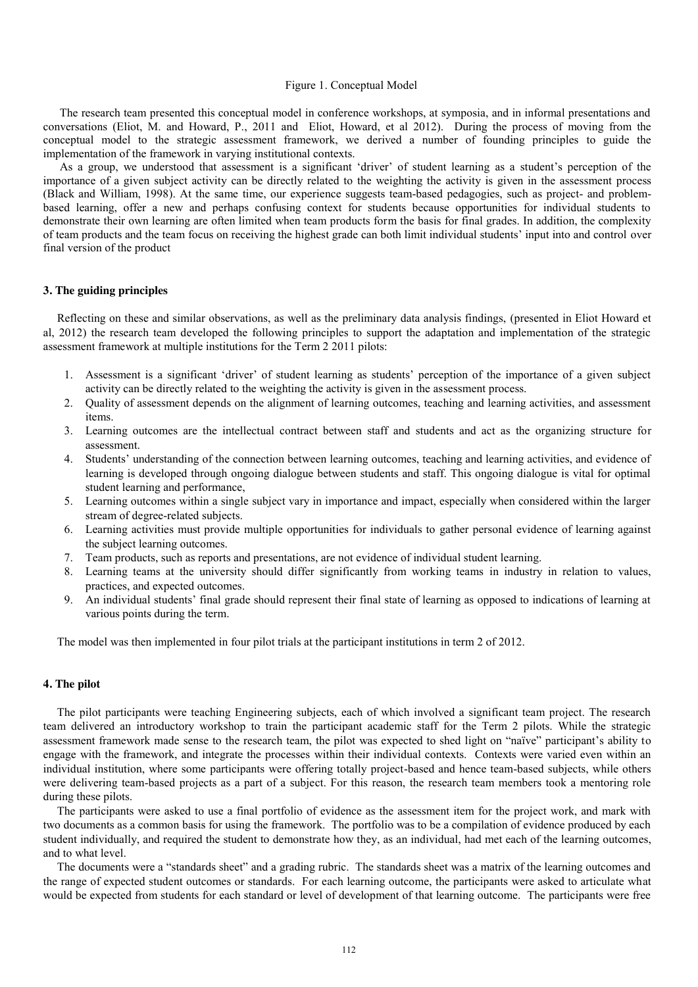# Figure 1. Conceptual Model

The research team presented this conceptual model in conference workshops, at symposia, and in informal presentations and conversations (Eliot, M. and Howard, P., 2011 and Eliot, Howard, et al 2012). During the process of moving from the conceptual model to the strategic assessment framework, we derived a number of founding principles to guide the implementation of the framework in varying institutional contexts.

As a group, we understood that assessment is a significant 'driver' of student learning as a student's perception of the importance of a given subject activity can be directly related to the weighting the activity is given in the assessment process (Black and William, 1998). At the same time, our experience suggests team-based pedagogies, such as project- and problembased learning, offer a new and perhaps confusing context for students because opportunities for individual students to demonstrate their own learning are often limited when team products form the basis for final grades. In addition, the complexity of team products and the team focus on receiving the highest grade can both limit individual students' input into and control over final version of the product

#### **3. The guiding principles**

Reflecting on these and similar observations, as well as the preliminary data analysis findings, (presented in Eliot Howard et al, 2012) the research team developed the following principles to support the adaptation and implementation of the strategic assessment framework at multiple institutions for the Term 2 2011 pilots:

- 1. Assessment is a significant 'driver' of student learning as students' perception of the importance of a given subject activity can be directly related to the weighting the activity is given in the assessment process.
- 2. Quality of assessment depends on the alignment of learning outcomes, teaching and learning activities, and assessment items.
- 3. Learning outcomes are the intellectual contract between staff and students and act as the organizing structure for assessment.
- 4. Students' understanding of the connection between learning outcomes, teaching and learning activities, and evidence of learning is developed through ongoing dialogue between students and staff. This ongoing dialogue is vital for optimal student learning and performance,
- 5. Learning outcomes within a single subject vary in importance and impact, especially when considered within the larger stream of degree-related subjects.
- 6. Learning activities must provide multiple opportunities for individuals to gather personal evidence of learning against the subject learning outcomes.
- 7. Team products, such as reports and presentations, are not evidence of individual student learning.
- 8. Learning teams at the university should differ significantly from working teams in industry in relation to values, practices, and expected outcomes.
- 9. An individual students' final grade should represent their final state of learning as opposed to indications of learning at various points during the term.

The model was then implemented in four pilot trials at the participant institutions in term 2 of 2012.

# **4. The pilot**

The pilot participants were teaching Engineering subjects, each of which involved a significant team project. The research team delivered an introductory workshop to train the participant academic staff for the Term 2 pilots. While the strategic assessment framework made sense to the research team, the pilot was expected to shed light on "naïve" participant's ability to engage with the framework, and integrate the processes within their individual contexts. Contexts were varied even within an individual institution, where some participants were offering totally project-based and hence team-based subjects, while others were delivering team-based projects as a part of a subject. For this reason, the research team members took a mentoring role during these pilots.

The participants were asked to use a final portfolio of evidence as the assessment item for the project work, and mark with two documents as a common basis for using the framework. The portfolio was to be a compilation of evidence produced by each student individually, and required the student to demonstrate how they, as an individual, had met each of the learning outcomes, and to what level.

The documents were a "standards sheet" and a grading rubric. The standards sheet was a matrix of the learning outcomes and the range of expected student outcomes or standards. For each learning outcome, the participants were asked to articulate what would be expected from students for each standard or level of development of that learning outcome. The participants were free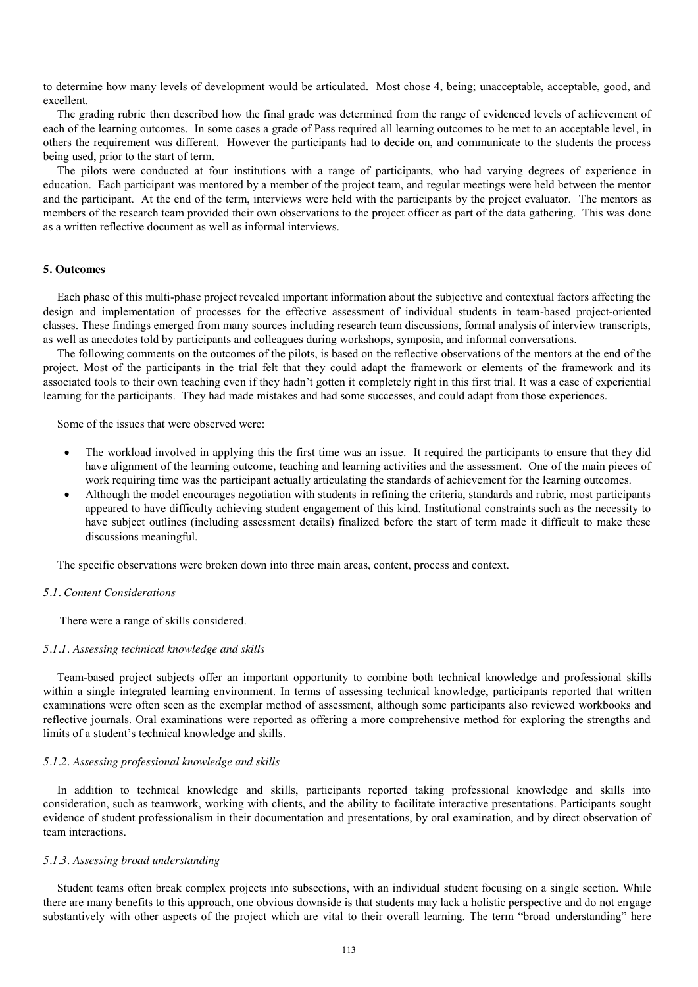to determine how many levels of development would be articulated. Most chose 4, being; unacceptable, acceptable, good, and excellent.

The grading rubric then described how the final grade was determined from the range of evidenced levels of achievement of each of the learning outcomes. In some cases a grade of Pass required all learning outcomes to be met to an acceptable level, in others the requirement was different. However the participants had to decide on, and communicate to the students the process being used, prior to the start of term.

The pilots were conducted at four institutions with a range of participants, who had varying degrees of experience in education. Each participant was mentored by a member of the project team, and regular meetings were held between the mentor and the participant. At the end of the term, interviews were held with the participants by the project evaluator. The mentors as members of the research team provided their own observations to the project officer as part of the data gathering. This was done as a written reflective document as well as informal interviews.

## **5. Outcomes**

Each phase of this multi-phase project revealed important information about the subjective and contextual factors affecting the design and implementation of processes for the effective assessment of individual students in team-based project-oriented classes. These findings emerged from many sources including research team discussions, formal analysis of interview transcripts, as well as anecdotes told by participants and colleagues during workshops, symposia, and informal conversations.

The following comments on the outcomes of the pilots, is based on the reflective observations of the mentors at the end of the project. Most of the participants in the trial felt that they could adapt the framework or elements of the framework and its associated tools to their own teaching even if they hadn't gotten it completely right in this first trial. It was a case of experiential learning for the participants. They had made mistakes and had some successes, and could adapt from those experiences.

Some of the issues that were observed were:

- The workload involved in applying this the first time was an issue. It required the participants to ensure that they did have alignment of the learning outcome, teaching and learning activities and the assessment. One of the main pieces of work requiring time was the participant actually articulating the standards of achievement for the learning outcomes.
- Although the model encourages negotiation with students in refining the criteria, standards and rubric, most participants appeared to have difficulty achieving student engagement of this kind. Institutional constraints such as the necessity to have subject outlines (including assessment details) finalized before the start of term made it difficult to make these discussions meaningful.

The specific observations were broken down into three main areas, content, process and context.

## *5.1. Content Considerations*

There were a range of skills considered.

#### *5.1.1. Assessing technical knowledge and skills*

Team-based project subjects offer an important opportunity to combine both technical knowledge and professional skills within a single integrated learning environment. In terms of assessing technical knowledge, participants reported that written examinations were often seen as the exemplar method of assessment, although some participants also reviewed workbooks and reflective journals. Oral examinations were reported as offering a more comprehensive method for exploring the strengths and limits of a student's technical knowledge and skills.

## *5.1.2. Assessing professional knowledge and skills*

In addition to technical knowledge and skills, participants reported taking professional knowledge and skills into consideration, such as teamwork, working with clients, and the ability to facilitate interactive presentations. Participants sought evidence of student professionalism in their documentation and presentations, by oral examination, and by direct observation of team interactions.

#### *5.1.3. Assessing broad understanding*

Student teams often break complex projects into subsections, with an individual student focusing on a single section. While there are many benefits to this approach, one obvious downside is that students may lack a holistic perspective and do not engage substantively with other aspects of the project which are vital to their overall learning. The term "broad understanding" here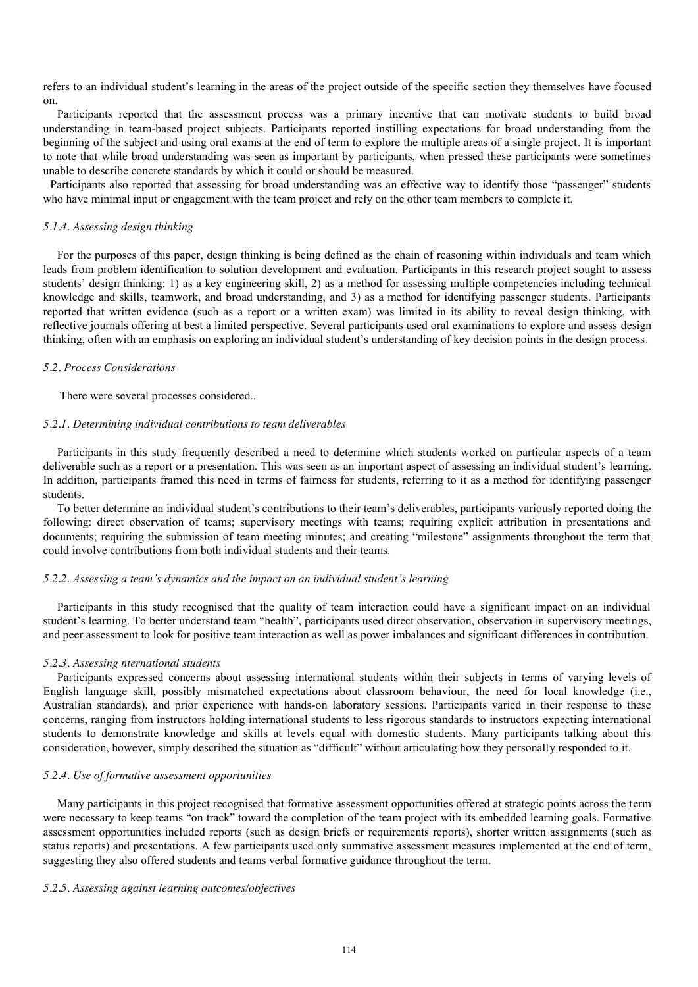refers to an individual student's learning in the areas of the project outside of the specific section they themselves have focused on.

Participants reported that the assessment process was a primary incentive that can motivate students to build broad understanding in team-based project subjects. Participants reported instilling expectations for broad understanding from the beginning of the subject and using oral exams at the end of term to explore the multiple areas of a single project. It is important to note that while broad understanding was seen as important by participants, when pressed these participants were sometimes unable to describe concrete standards by which it could or should be measured.

Participants also reported that assessing for broad understanding was an effective way to identify those "passenger" students who have minimal input or engagement with the team project and rely on the other team members to complete it.

## *5.1.4. Assessing design thinking*

For the purposes of this paper, design thinking is being defined as the chain of reasoning within individuals and team which leads from problem identification to solution development and evaluation. Participants in this research project sought to assess students' design thinking: 1) as a key engineering skill, 2) as a method for assessing multiple competencies including technical knowledge and skills, teamwork, and broad understanding, and 3) as a method for identifying passenger students. Participants reported that written evidence (such as a report or a written exam) was limited in its ability to reveal design thinking, with reflective journals offering at best a limited perspective. Several participants used oral examinations to explore and assess design thinking, often with an emphasis on exploring an individual student's understanding of key decision points in the design process.

#### *5.2. Process Considerations*

There were several processes considered..

#### *5.2.1. Determining individual contributions to team deliverables*

Participants in this study frequently described a need to determine which students worked on particular aspects of a team deliverable such as a report or a presentation. This was seen as an important aspect of assessing an individual student's learning. In addition, participants framed this need in terms of fairness for students, referring to it as a method for identifying passenger students.

To better determine an individual student's contributions to their team's deliverables, participants variously reported doing the following: direct observation of teams; supervisory meetings with teams; requiring explicit attribution in presentations and documents; requiring the submission of team meeting minutes; and creating "milestone" assignments throughout the term that could involve contributions from both individual students and their teams.

#### *5.2.2. Assessing a team's dynamics and the impact on an individual student's learning*

Participants in this study recognised that the quality of team interaction could have a significant impact on an individual student's learning. To better understand team "health", participants used direct observation, observation in supervisory meetings, and peer assessment to look for positive team interaction as well as power imbalances and significant differences in contribution.

#### *5.2.3. Assessing nternational students*

Participants expressed concerns about assessing international students within their subjects in terms of varying levels of English language skill, possibly mismatched expectations about classroom behaviour, the need for local knowledge (i.e., Australian standards), and prior experience with hands-on laboratory sessions. Participants varied in their response to these concerns, ranging from instructors holding international students to less rigorous standards to instructors expecting international students to demonstrate knowledge and skills at levels equal with domestic students. Many participants talking about this consideration, however, simply described the situation as "difficult" without articulating how they personally responded to it.

## *5.2.4. Use of formative assessment opportunities*

Many participants in this project recognised that formative assessment opportunities offered at strategic points across the term were necessary to keep teams "on track" toward the completion of the team project with its embedded learning goals. Formative assessment opportunities included reports (such as design briefs or requirements reports), shorter written assignments (such as status reports) and presentations. A few participants used only summative assessment measures implemented at the end of term, suggesting they also offered students and teams verbal formative guidance throughout the term.

#### *5.2.5. Assessing against learning outcomes/objectives*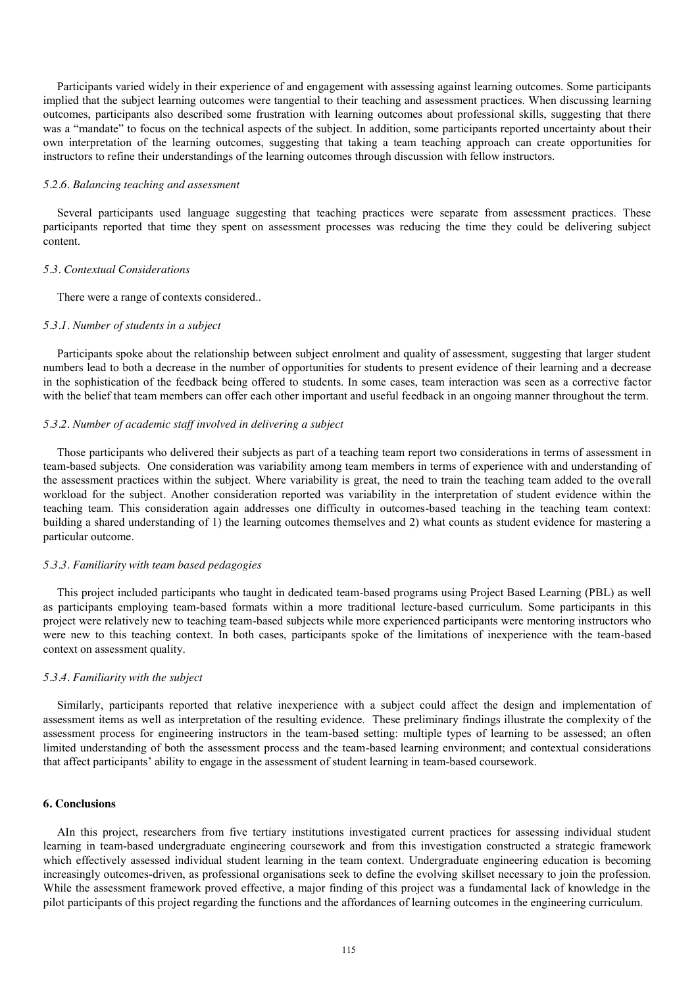Participants varied widely in their experience of and engagement with assessing against learning outcomes. Some participants implied that the subject learning outcomes were tangential to their teaching and assessment practices. When discussing learning outcomes, participants also described some frustration with learning outcomes about professional skills, suggesting that there was a "mandate" to focus on the technical aspects of the subject. In addition, some participants reported uncertainty about their own interpretation of the learning outcomes, suggesting that taking a team teaching approach can create opportunities for instructors to refine their understandings of the learning outcomes through discussion with fellow instructors.

#### *5.2.6. Balancing teaching and assessment*

Several participants used language suggesting that teaching practices were separate from assessment practices. These participants reported that time they spent on assessment processes was reducing the time they could be delivering subject content.

#### *5.3. Contextual Considerations*

There were a range of contexts considered..

### *5.3.1. Number of students in a subject*

Participants spoke about the relationship between subject enrolment and quality of assessment, suggesting that larger student numbers lead to both a decrease in the number of opportunities for students to present evidence of their learning and a decrease in the sophistication of the feedback being offered to students. In some cases, team interaction was seen as a corrective factor with the belief that team members can offer each other important and useful feedback in an ongoing manner throughout the term.

#### *5.3.2. Number of academic staff involved in delivering a subject*

Those participants who delivered their subjects as part of a teaching team report two considerations in terms of assessment in team-based subjects. One consideration was variability among team members in terms of experience with and understanding of the assessment practices within the subject. Where variability is great, the need to train the teaching team added to the overall workload for the subject. Another consideration reported was variability in the interpretation of student evidence within the teaching team. This consideration again addresses one difficulty in outcomes-based teaching in the teaching team context: building a shared understanding of 1) the learning outcomes themselves and 2) what counts as student evidence for mastering a particular outcome.

#### *5.3.3. Familiarity with team based pedagogies*

This project included participants who taught in dedicated team-based programs using Project Based Learning (PBL) as well as participants employing team-based formats within a more traditional lecture-based curriculum. Some participants in this project were relatively new to teaching team-based subjects while more experienced participants were mentoring instructors who were new to this teaching context. In both cases, participants spoke of the limitations of inexperience with the team-based context on assessment quality.

## *5.3.4. Familiarity with the subject*

Similarly, participants reported that relative inexperience with a subject could affect the design and implementation of assessment items as well as interpretation of the resulting evidence. These preliminary findings illustrate the complexity of the assessment process for engineering instructors in the team-based setting: multiple types of learning to be assessed; an often limited understanding of both the assessment process and the team-based learning environment; and contextual considerations that affect participants' ability to engage in the assessment of student learning in team-based coursework.

# **6. Conclusions**

AIn this project, researchers from five tertiary institutions investigated current practices for assessing individual student learning in team-based undergraduate engineering coursework and from this investigation constructed a strategic framework which effectively assessed individual student learning in the team context. Undergraduate engineering education is becoming increasingly outcomes-driven, as professional organisations seek to define the evolving skillset necessary to join the profession. While the assessment framework proved effective, a major finding of this project was a fundamental lack of knowledge in the pilot participants of this project regarding the functions and the affordances of learning outcomes in the engineering curriculum.